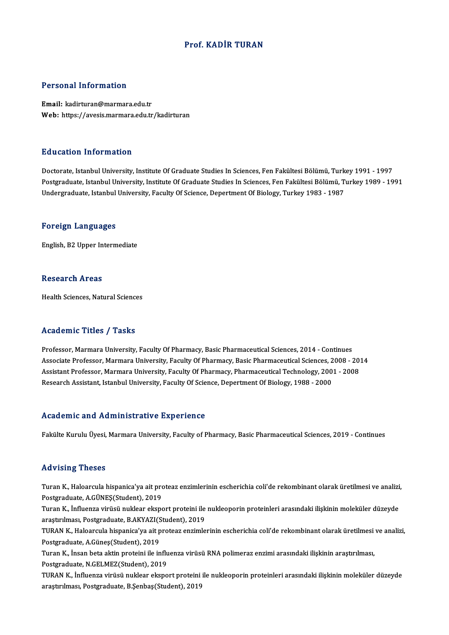#### Prof. KADİR TURAN

#### Personal Information

Email: kadirturan@marmara.edu.tr Web: https://avesis.marmara.edu.tr/kadirturan

#### Education Information

Doctorate, Istanbul University, Institute Of Graduate Studies In Sciences, Fen Fakültesi Bölümü, Turkey 1991 - 1997 Postgraduate, Istanbul University, Institute Of Graduate Studies In Sciences, Fen Fakültesi Bölümü, Turkey 1989 - 1991 Undergraduate, Istanbul University, Faculty Of Science, Depertment Of Biology, Turkey 1983 - 1987

#### Foreign Languages

English,B2Upper Intermediate

#### Research Areas

Health Sciences, Natural Sciences

#### Academic Titles / Tasks

Professor, Marmara University, Faculty Of Pharmacy, Basic Pharmaceutical Sciences, 2014 - Continues Associate Article 7 Table<br>Professor, Marmara University, Faculty Of Pharmacy, Basic Pharmaceutical Sciences, 2014 - Continues<br>Associate Professor, Marmara University, Faculty Of Pharmacy, Basic Pharmaceutical Sciences, 200 Professor, Marmara University, Faculty Of Pharmacy, Basic Pharmaceutical Sciences, 2014 - Continues<br>Associate Professor, Marmara University, Faculty Of Pharmacy, Basic Pharmaceutical Sciences, 2008 - 201<br>Assistant Professo Associate Professor, Marmara University, Faculty Of Pharmacy, Basic Pharmaceutical Sciences, 2<br>Assistant Professor, Marmara University, Faculty Of Pharmacy, Pharmaceutical Technology, 200<br>Research Assistant, Istanbul Unive Research Assistant, Istanbul University, Faculty Of Science, Depertment Of Biology, 1988 - 2000<br>Academic and Administrative Experience

Fakülte Kurulu Üyesi, Marmara University, Faculty of Pharmacy, Basic Pharmaceutical Sciences, 2019 - Continues

#### Advising Theses

Advising Theses<br>Turan K., Haloarcula hispanica'ya ait proteaz enzimlerinin escherichia coli'de rekombinant olarak üretilmesi ve analizi,<br>Pestanaduata A CÜNES(Student), 2019 raa visinig "riesee"<br>Turan K., Haloarcula hispanica'ya ait pro<br>Postgraduate, A.GÜNEŞ(Student), 2019<br>Turan K., İnfluanga utrüsü nuklaar akspe Turan K., Haloarcula hispanica'ya ait proteaz enzimlerinin escherichia coli'de rekombinant olarak üretilmesi ve analizi<br>Postgraduate, A.GÜNEŞ(Student), 2019<br>Turan K., İnfluenza virüsü nuklear eksport proteini ile nukleopor Postgraduate, A.GÜNEŞ(Student), 2019<br>Turan K., İnfluenza virüsü nuklear eksport proteini ile nukleoporin proteinleri arasındaki ilişkinin moleküler düzeyde

araştırılması, Postgraduate, B.AKYAZI(Student), 2019

TURAN K., Haloarcula hispanica'ya ait proteaz enzimlerinin escherichia coli'de rekombinant olarak üretilmesi ve analizi,<br>Postgraduate, A.Günes(Student), 2019 TURAN K., Haloarcula hispanica'ya ait proteaz enzimlerinin escherichia coli'de rekombinant olarak üretilmesi<br>Postgraduate, A.Güneş(Student), 2019<br>Turan K., İnsan beta aktin proteini ile influenza virüsü RNA polimeraz enzim

Postgraduate, A.Güneş(Student), 2019<br>Turan K., İnsan beta aktin proteini ile influ<br>Postgraduate, N.GELMEZ(Student), 2019<br>TURAN K. İnfluenze virüsü pultlear eltene Postgraduate, N.GELMEZ(Student), 2019<br>TURAN K., İnfluenza virüsü nuklear eksport proteini ile nukleoporin proteinleri arasındaki ilişkinin moleküler düzeyde

araştırılması, Postgraduate, B.Şenbaş(Student), 2019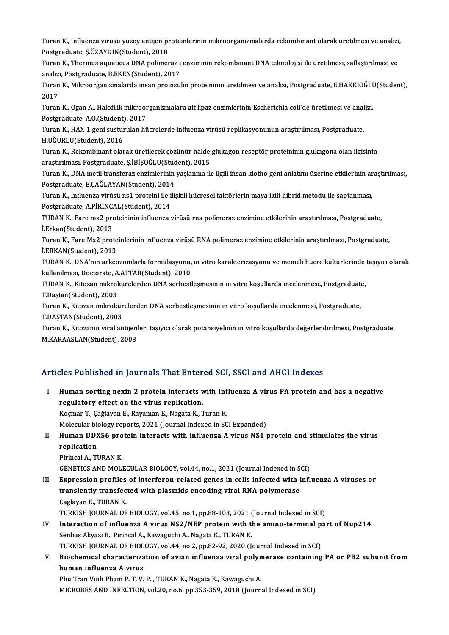Turan K., İnfluenza virüsü yüzey antijen proteinlerinin mikroorganizmalarda rekombinant olarak üretilmesi ve analizi,<br>Pestsraduata SÖZAVDIN(Student), 2019 Turan K., İnfluenza virüsü yüzey antijen pr<br>Postgraduate, Ş.ÖZAYDIN(Student), 2018<br>Turan K., Thermus aquatisus DNA polimer Turan K., İnfluenza virüsü yüzey antijen proteinlerinin mikroorganizmalarda rekombinant olarak üretilmesi ve analizi<br>Postgraduate, Ş.ÖZAYDIN(Student), 2018<br>Turan K., Thermus aquaticus DNA polimeraz ı enziminin rekombinant

Postgraduate, Ş.ÖZAYDIN(Student), 2018<br>Turan K., Thermus aquaticus DNA polimeraz ı<br>analizi, Postgraduate, B.EKEN(Student), 2017<br>Turan K. Milmeerganirmalarda insen prejnaji

Turan K., Thermus aquaticus DNA polimeraz ı enziminin rekombinant DNA teknolojisi ile üretilmesi, saflaştırılması ve<br>analizi, Postgraduate, B.EKEN(Student), 2017<br>Turan K., Mikroorganizmalarda insan proinsülin proteininin ü analiz<br>Turan<br>2017<br>Turan Turan K., Mikroorganizmalarda insan proinsülin proteininin üretilmesi ve analizi, Postgraduate, E.HAKKIOĞLU<br>2017<br>Turan K., Ogan A., Halofilik mikroorganizmalara ait lipaz enzimlerinin Escherichia coli'de üretilmesi ve anal

2017<br>Turan K., Ogan A., Halofilik mikroor<br>Postgraduate, A.O.(Student), 2017<br>Turan K., HAX 1 gani susturulan bü Turan K., Ogan A., Halofilik mikroorganizmalara ait lipaz enzimlerinin Escherichia coli'de üretilmesi ve anal<br>Postgraduate, A.O.(Student), 2017<br>Turan K., HAX-1 geni susturulan hücrelerde influenza virüsü replikasyonunun ar

Postgraduate, A.O.(Student), 2017<br>Turan K., HAX-1 geni susturulan hücrelerde influenza virüsü replikasyonunun araştırılması, Postgraduate,<br>H.UĞURLU(Student), 2016 Turan K., HAX-1 geni susturulan hücrelerde influenza virüsü replikasyonunun araştırılması, Postgraduate,<br>H.UĞURLU(Student), 2016<br>Turan K., Rekombinant olarak üretilecek çözünür halde glukagon reseptör proteininin glukagona

H.UĞURLU(Student), 2016<br>Turan K., Rekombinant olarak üretilecek çözünür halde<br>araştırılması, Postgraduate, Ş.İBİŞOĞLU(Student), 2015<br>Turan K. DNA metil transforaz onzimlerinin vaslanma ile

araştırılması, Postgraduate, Ş.İBİŞOĞLU(Student), 2015<br>Turan K., DNA metil transferaz enzimlerinin yaşlanma ile ilgili insan klotho geni anlatımı üzerine etkilerinin araştırılması, araştırılması, Postgraduate, Ş.İBİŞOĞLU(Stud<br>Turan K., DNA metil transferaz enzimlerinin<br>Postgraduate, E.ÇAĞLAYAN(Student), 2014<br>Turan K., İnfluenge virüsü ned proteini ile ili Turan K., DNA metil transferaz enzimlerinin yaşlanma ile ilgili insan klotho geni anlatımı üzerine etkilerinin ar<br>Postgraduate, E.ÇAĞLAYAN(Student), 2014<br>Turan K., İnfluenza virüsü ns1 proteini ile ilişkili hücresel faktör

Postgraduate, E.ÇAĞLAYAN(Student), 2014<br>Turan K., İnfluenza virüsü ns1 proteini ile i<br>Postgraduate, A.PİRİNÇAL(Student), 2014<br>TURAN K. Esre my? preteininin influenze 1 Turan K., İnfluenza virüsü ns1 proteini ile ilişkili hücresel faktörlerin maya ikili-hibrid metodu ile saptanması,<br>Postgraduate, A.PİRİNÇAL(Student), 2014<br>TURAN K., Fare mx2 proteininin influenza virüsü rna polimeraz enzim

Postgraduate, A.PİRİNÇAL(Student), 2014<br>TURAN K., Fare mx2 proteininin influenza virüsü rna polimeraz enzimine etkilerinin araştırılması, Postgraduate,<br>İ.Erkan(Student), 2013 TURAN K., Fare mx2 proteininin influenza virüsü rna polimeraz enzimine etkilerinin araştırılması, Postgraduate,<br>İ.Erkan(Student), 2013<br>Turan K., Fare Mx2 proteinlerinin influenza virüsü RNA polimeraz enzimine etkilerinin a

İ.Erkan(Student), 2013<br>Turan K., Fare Mx2 prote<br>İ.ERKAN(Student), 2013<br>TURAN K., DNA'nın arkas Turan K., Fare Mx2 proteinlerinin influenza virüsü RNA polimeraz enzimine etkilerinin araştırılması, Postgraduate,<br>İ.ERKAN(Student), 2013<br>TURAN K., DNA'nın arkeozomlarla formülasyonu, in vitro karakterizasyonu ve memeli hü

İ.ERKAN(Student), 2013<br>TURAN K., DNA'nın arkeozomlarla formülasyonu, in vitro karakterizasyonu ve memeli hücre kültürlerinde taşıyıcı olarak<br>kullanılması, Doctorate, A.ATTAR(Student), 2010 TURAN K., DNA'nın arkeozomlarla formülasyonu, in vitro karakterizasyonu ve memeli hücre kültürlerinde<br>kullanılması, Doctorate, A.ATTAR(Student), 2010<br>TURAN K., Kitozan mikrokürelerden DNA serbestleşmesinin in vitro koşulla

kullanılması, Doctorate, A<br>TURAN K., Kitozan mikrol<br>T.Daştan(Student), 2003<br>Turan K., Kitozan mikrola TURAN K., Kitozan mikrokürelerden DNA serbestleşmesinin in vitro koşullarda incelenmesi., Postgraduate<br>T.Daştan(Student), 2003<br>Turan K., Kitozan mikrokürelerden DNA serbestleşmesinin in vitro koşullarda incelenmesi, Postgr

T.Daştan(Student), 2003<br>Turan K., Kitozan mikrokürelerden DNA serbestleşmesinin in vitro koşullarda incelenmesi, Postgraduate,<br>T.DAŞTAN(Student), 2003

Turan K., Kitozanın viral antijenleri taşıyıcı olarak potansiyelinin in vitro koşullarda değerlendirilmesi, Postgraduate, M.KARAASLAN(Student),2003

### Articles Published in Journals That Entered SCI, SSCI and AHCI Indexes

rticles Published in Journals That Entered SCI, SSCI and AHCI Indexes<br>I. Human sorting nexin 2 protein interacts with Influenza A virus PA protein and has a negative<br>regulatery effect on the virue replication regulatory effect on the virus replication.<br>Fluman sorting nexin 2 protein interacts v<br>Examen T. Coğlavan E. Davaman E. Nagata V. 7 Human sorting nexin 2 protein interacts with Inf<br>regulatory effect on the virus replication.<br>Koçmar T., Çağlayan E., Rayaman E., Nagata K., Turan K.<br>Malamlan biolagy reports 2021 (Jaurnal Indoved in SC regulatory effect on the virus replication.<br>Koçmar T., Çağlayan E., Rayaman E., Nagata K., Turan K.<br>Molecular biology reports, 2021 (Journal Indexed in SCI Expanded)<br>Human DDYE6 protein interacts with influenze A virus NS1 Koçmar T., Çağlayan E., Rayaman E., Nagata K., Turan K.<br>Molecular biology reports, 2021 (Journal Indexed in SCI Expanded)<br>II. Human DDX56 protein interacts with influenza A virus NS1 protein and stimulates the virus<br>re Molecular bion<br>Human DD)<br>replication<br><sup>Dirincal A</sup>. TI Pirincal A., TURAN K. replication<br>Pirincal A., TURAN K.<br>GENETICS AND MOLECULAR BIOLOGY, vol.44, no.1, 2021 (Journal Indexed in SCI)<br>Expression profiles of interferen related senes in sells infected with infl Pirincal A., TURAN K.<br>GENETICS AND MOLECULAR BIOLOGY, vol.44, no.1, 2021 (Journal Indexed in SCI)<br>III. Expression profiles of interferon-related genes in cells infected with influenza A viruses or<br>transiantly transfected w GENETICS AND MOLECULAR BIOLOGY, vol.44, no.1, 2021 (Journal Indexed in S<br>Expression profiles of interferon-related genes in cells infected with i<br>transiently transfected with plasmids encoding viral RNA polymerase<br>Caglavan Expression profiles<br>transiently transfec<br>Caglayan E., TURAN K.<br>TUREER JOURNAL OF transiently transfected with plasmids encoding viral RNA polymerase<br>Caglayan E., TURAN K.<br>TURKISH JOURNAL OF BIOLOGY, vol.45, no.1, pp.88-103, 2021 (Journal Indexed in SCI)<br>Interaction of influenze A vinus NS2 (NEP protein Caglayan E., TURAN K.<br>IV. INTERTSH JOURNAL OF BIOLOGY, vol.45, no.1, pp.88-103, 2021 (Journal Indexed in SCI)<br>IV. Interaction of influenza A virus NS2/NEP protein with the amino-terminal part of Nup214<br>Sephes Alwayi B. Bir TURKISH JOURNAL OF BIOLOGY, vol.45, no.1, pp.88-103, 2021 (<br>Interaction of influenza A virus NS2/NEP protein with the<br>Senbas Akyazi B., Pirincal A., Kawaguchi A., Nagata K., TURAN K.<br>TURKISH JOURNAL OF BIOLOGY vol.44, no.2 Interaction of influenza A virus NS2/NEP protein with the amino-terminal particles.<br>Senbas Akyazi B., Pirincal A., Kawaguchi A., Nagata K., TURAN K.<br>TURKISH JOURNAL OF BIOLOGY, vol.44, no.2, pp.82-92, 2020 (Journal Indexed Senbas Akyazi B., Pirincal A., Kawaguchi A., Nagata K., TURAN K.<br>TURKISH JOURNAL OF BIOLOGY, vol.44, no.2, pp.82-92, 2020 (Journal Indexed in SCI)<br>V. Biochemical characterization of avian influenza viral polymerase con TURKISH JOURNAL OF BIOLOGY, vol.44, no.2, pp.82-92, 2020 (Journal Indexed in SCI)<br>Biochemical characterization of avian influenza viral polymerase containing<br>human influenza A virus<br>Phu Tran Vinh Pham P. T. V. P., TURAN K. Biochemical characterization of avian influenza viral polyn<br>human influenza A virus<br>Phu Tran Vinh Pham P. T. V. P. , TURAN K., Nagata K., Kawaguchi A.<br>MICPOPES AND INEECTION 112.2. Po 6, pp.353,350,3019 (Journ

MICROBES AND INFECTION, vol.20, no.6, pp.353-359, 2018 (Journal Indexed in SCI)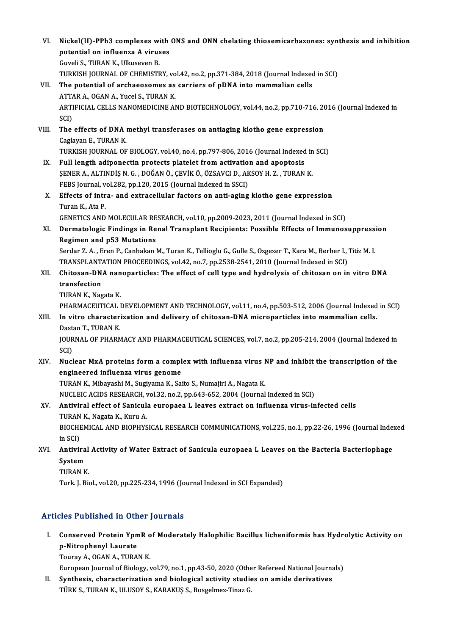VI. Nickel(II)-PPh3 complexes with ONS and ONN chelating thiosemicarbazones: synthesis and inhibition Nickel(II)-PPh3 complexes with<br>potential on influenza A viruses<br>Cuveli S. TUPAN K. Ullueeven P Nickel(II)-PPh3 complexes wi<br>potential on influenza A virus<br>Guveli S., TURAN K., Ulkuseven B.<br>TURKISH JOURNAL OF CHEMISTE potential on influenza A viruses<br>Guveli S., TURAN K., Ulkuseven B.<br>TURKISH JOURNAL OF CHEMISTRY, vol.42, no.2, pp.371-384, 2018 (Journal Indexed in SCI)<br>The potential of exchaeosemes as sanriers of pDNA inte memmalian sell Guveli S., TURAN K., Ulkuseven B.<br>TURKISH JOURNAL OF CHEMISTRY, vol.42, no.2, pp.371-384, 2018 (Journal Indexed<br>VII. The potential of archaeosomes as carriers of pDNA into mammalian cells<br>ATTAR A., OGAN A., Yucel S., TURAN TURKISH JOURNAL OF CHEMISTRY, vo<br>The potential of archaeosomes as<br>ATTAR A., OGAN A., Yucel S., TURAN K.<br>APTIEICIAL CELLS NANOMEDICINE AL The potential of archaeosomes as carriers of pDNA into mammalian cells<br>ATTAR A., OGAN A., Yucel S., TURAN K.<br>ARTIFICIAL CELLS NANOMEDICINE AND BIOTECHNOLOGY, vol.44, no.2, pp.710-716, 2016 (Journal Indexed in<br>SCD ATTA<br>ARTI<br>SCI)<br>The ARTIFICIAL CELLS NANOMEDICINE AND BIOTECHNOLOGY, vol.44, no.2, pp.710-716, 20<br>SCI)<br>VIII. The effects of DNA methyl transferases on antiaging klotho gene expression<br>Corleven E. TUPAN K SCI)<br>The effects of DNA i<br>Caglayan E., TURAN K.<br>TURKISH JOURNAL OF The effects of DNA methyl transferases on antiaging klotho gene expression<br>Caglayan E., TURAN K.<br>TURKISH JOURNAL OF BIOLOGY, vol.40, no.4, pp.797-806, 2016 (Journal Indexed in SCI)<br>Full length adinementin pretects platelet Caglayan E., TURAN K.<br>TURKISH JOURNAL OF BIOLOGY, vol.40, no.4, pp.797-806, 2016 (Journal Indexed in SCI)<br>IX. Full length adiponectin protects platelet from activation and apoptosis ŞENERA.,ALTINDİŞN.G. ,DOĞANÖ.,ÇEVİKÖ.,ÖZSAVCID.,AKSOYH.Z. ,TURANK. Full length adiponectin protects platelet from activatio<br>ŞENER A., ALTINDİŞ N. G. , DOĞAN Ö., ÇEVİK Ö., ÖZSAVCI D., AK<br>FEBS Journal, vol.282, pp.120, 2015 (Journal Indexed in SSCI)<br>Fffects of intre- and autrecellular facto X. Effects of intra- and extracellular factors on anti-aging klotho gene expression<br>Turan K., Ata P. FEBS Journal, v<br><mark>Effects of intr</mark><br>Turan K., Ata P.<br>CENETICS AND GENETICS AND MOLECULAR RESEARCH, vol.10, pp.2009-2023, 2011 (Journal Indexed in SCI) Turan K., Ata P.<br>GENETICS AND MOLECULAR RESEARCH, vol.10, pp.2009-2023, 2011 (Journal Indexed in SCI)<br>XI. Dermatologic Findings in Renal Transplant Recipients: Possible Effects of Immunosuppression<br>Regimen and nE3 Muta GENETICS AND MOLECULAR RE<br>Dermatologic Findings in Re<br>Regimen and p53 Mutations Dermatologic Findings in Renal Transplant Recipients: Possible Effects of Immunosuppress:<br>Regimen and p53 Mutations<br>Serdar Z.A., Eren P., Canbakan M., Turan K., Tellioglu G., Gulle S., Ozgezer T., Kara M., Berber I., Titiz Regimen and p53 Mutations<br>Serdar Z. A. , Eren P., Canbakan M., Turan K., Tellioglu G., Gulle S., Ozgezer T., Kara M., Berber I., Titiz M. I. Serdar Z. A. , Eren P., Canbakan M., Turan K., Tellioglu G., Gulle S., Ozgezer T., Kara M., Berber I., Titiz M. I.<br>TRANSPLANTATION PROCEEDINGS, vol.42, no.7, pp.2538-2541, 2010 (Journal Indexed in SCI)<br>XII. Chitosan-DNA na TRANSPLANTATION PROCEEDINGS, vol.42, no.7, pp.2538-2541, 2010 (Journal Indexed in SCI)<br>Chitosan-DNA nanoparticles: The effect of cell type and hydrolysis of chitosan on in<br>transfection<br>TURAN K, Nagata K, Chitosan-DNA nan<br>transfection<br>TURAN K., Nagata K.<br>PHAPMACEUTICAL I transfection<br>TURAN K., Nagata K.<br>PHARMACEUTICAL DEVELOPMENT AND TECHNOLOGY, vol.11, no.4, pp.503-512, 2006 (Journal Indexed in SCI)<br>In uitre characterization and delivery of chitasan DNA micronarticles inte mammalian sells TURAN K., Nagata K.<br>PHARMACEUTICAL DEVELOPMENT AND TECHNOLOGY, vol.11, no.4, pp.503-512, 2006 (Journal Indexed<br>XIII. In vitro characterization and delivery of chitosan-DNA microparticles into mammalian cells.<br>Destan T. TUP PHARMACEUTICAL<br>I<mark>n vitro character</mark><br>Dastan T., TURAN K.<br>JOUPMAL OF PHAPA In vitro characterization and delivery of chitosan-DNA microparticles into mammalian cells.<br>Dastan T., TURAN K.<br>JOURNAL OF PHARMACY AND PHARMACEUTICAL SCIENCES, vol.7, no.2, pp.205-214, 2004 (Journal Indexed in<br>SCD Dast<br>JOUR<br>SCI)<br>Nuel JOURNAL OF PHARMACY AND PHARMACEUTICAL SCIENCES, vol.7, no.2, pp.205-214, 2004 (Journal Indexed in<br>SCI)<br>XIV. Nuclear MxA proteins form a complex with influenza virus NP and inhibit the transcription of the<br>angineered influ SCI)<br>Nuclear MxA proteins form a compl<br>engineered influenza virus genome<br>TURAN K. Mibaveshi M. Sugivame K. Sai engineered influenza virus genome<br>TURAN K., Mibayashi M., Sugiyama K., Saito S., Numajiri A., Nagata K. engineered influenza virus genome<br>TURAN K., Mibayashi M., Sugiyama K., Saito S., Numajiri A., Nagata K.<br>NUCLEIC ACIDS RESEARCH, vol.32, no.2, pp.643-652, 2004 (Journal Indexed in SCI)<br>Antivinal offect of Sanjaula aunonees XV. Antiviral effect of Sanicula europaea L leaves extract on influenza virus-infected cells<br>TURAN K., Nagata K., Kuru A. NUCLEIC ACIDS RESEARCH, v<br>Antiviral effect of Sanicul:<br>TURAN K., Nagata K., Kuru A.<br>PIOCHEMICAL AND PIODUVS BIOCHEMICAL AND BIOPHYSICAL RESEARCH COMMUNICATIONS, vol.225, no.1, pp.22-26, 1996 (Journal Indexed in SCI) BIOCHEMICAL AND BIOPHYSICAL RESEARCH COMMUNICATIONS, vol.225, no.1, pp.22-26, 1996 (Journal Inde:<br>in SCI)<br>XVI. Antiviral Activity of Water Extract of Sanicula europaea L Leaves on the Bacteria Bacteriophage<br>System in SCI)<br><mark>Antivira</mark><br>System<br>TUPAN P Antiviral<br>System<br>TURAN K.<br>Turk L Bi System<br>TURAN K.<br>Turk. J. Biol., vol.20, pp.225-234, 1996 (Journal Indexed in SCI Expanded)

### Articles Published in Other Journals

rticles Published in Other Journals<br>I. Conserved Protein YpmR of Moderately Halophilic Bacillus licheniformis has Hydrolytic Activity on<br>P. Mitrophenyl Laurate res I abholica in General<br>Conserved Protein Ypn<br>Power A OCAN A TUPA Conserved Protein YpmR o<br>p-Nitrophenyl Laurate<br>Touray A., OGAN A., TURAN K.<br>European Journal of Biology 1 p-Nitrophenyl Laurate<br>Touray A., OGAN A., TURAN K.<br>European Journal of Biology, vol.79, no.1, pp.43-50, 2020 (Other Refereed National Journals)<br>Synthesis, sharesterisation and biologisel estivity studies on amide denivativ

Touray A., OGAN A., TURAN K.<br>European Journal of Biology, vol.79, no.1, pp.43-50, 2020 (Other Refereed National Journa<br>II. Synthesis, characterization and biological activity studies on amide derivatives<br>Tipy S. TURAN K. U European Journal of Biology, vol.79, no.1, pp.43-50, 2020 (Othe<br><mark>Synthesis, characterization and biological activity studie</mark><br>TÜRK S., TURAN K., ULUSOY S., KARAKUŞ S., Bosgelmez-Tinaz G.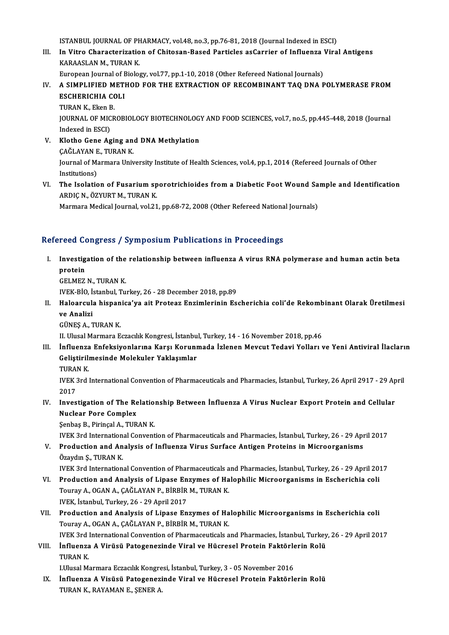ISTANBUL JOURNALOF PHARMACY,vol.48,no.3,pp.76-81,2018 (Journal Indexed inESCI)

ISTANBUL JOURNAL OF PHARMACY, vol.48, no.3, pp.76-81, 2018 (Journal Indexed in ESCI)<br>III. In Vitro Characterization of Chitosan-Based Particles asCarrier of Influenza Viral Antigens<br>KARAASLAN M. TURAN K ISTANBUL JOURNAL OF PH<br>I<mark>n Vitro Characterizatio</mark><br>KARAASLAN M., TURAN K.<br>European Journal of Biolog In Vitro Characterization of Chitosan-Based Particles asCarrier of Influenza '<br>KARAASLAN M., TURAN K.<br>European Journal of Biology, vol.77, pp.1-10, 2018 (Other Refereed National Journals)<br>A SIMBLIELED METHOD FOR THE EXTRAC

KARAASLAN M., TURAN K.<br>European Journal of Biology, vol.77, pp.1-10, 2018 (Other Refereed National Journals)<br>IV. A SIMPLIFIED METHOD FOR THE EXTRACTION OF RECOMBINANT TAQ DNA POLYMERASE FROM<br>ESCHERICHIA COLL European Journal of E<br>A SIMPLIFIED METI<br>ESCHERICHIA COLI<br>TUBAN K. Ekon B A SIMPLIFIED M<br>ESCHERICHIA CO<br>TURAN K., Eken B.<br>JOUPMAL OF MICP

ESCHERICHIA COLI<br>TURAN K., Eken B.<br>JOURNAL OF MICROBIOLOGY BIOTECHNOLOGY AND FOOD SCIENCES, vol.7, no.5, pp.445-448, 2018 (Journal<br>Indoved in ESCI) TURAN K., Eken E<br>JOURNAL OF MIC<br>Indexed in ESCI)<br>Klathe Cene As JOURNAL OF MICROBIOLOGY BIOTECHNOLOGY<br>Indexed in ESCI)<br>V. Klotho Gene Aging and DNA Methylation

- Indexed in ESCI)<br>Klotho Gene Aging an<br>ÇAĞLAYAN E., TURAN K.<br>Journal of Marmana Uniu Journal of Marmara University Institute of Health Sciences, vol.4, pp.1, 2014 (Refereed Journals of Other Institutions) CAĞLAYAN E, TURAN K Journal of Marmara University Institute of Health Sciences, vol.4, pp.1, 2014 (Refereed Journals of Other<br>Institutions)<br>VI. The Isolation of Fusarium sporotrichioides from a Diabetic Foot Wound Sample and Identification<br>AP
- Institutions)<br>The Isolation of Fusarium sp<br>ARDIÇ N., ÖZYURT M., TURAN K.<br>Marmara Madisəl Jaurnal vəl 21 The Isolation of Fusarium sporotrichioides from a Diabetic Foot Wound Sa<br>ARDIÇ N., ÖZYURT M., TURAN K.<br>Marmara Medical Journal, vol.21, pp.68-72, 2008 (Other Refereed National Journals)

# Marmara Medical Journal, vol.21, pp.68-72, 2008 (Other Refereed National Journals)<br>Refereed Congress / Symposium Publications in Proceedings

efereed Congress / Symposium Publications in Proceedings<br>I. Investigation of the relationship between influenza A virus RNA polymerase and human actin beta<br>Protein I soul of<br>Investig<br>CELMEZ Investigation of the<br>protein<br>GELMEZ N., TURAN K.<br>WEK PIO Istanbul Tu protein<br>GELMEZ N., TURAN K.<br>IVEK-BİO, İstanbul, Turkey, 26 - 28 December 2018, pp.89<br>Haloaraula biananisa'ya ait Protear Engimlerinin Es

GELMEZ N., TURAN K.<br>IVEK-BİO, İstanbul, Turkey, 26 - 28 December 2018, pp.89<br>II. Haloarcula hispanica'ya ait Proteaz Enzimlerinin Escherichia coli'de Rekombinant Olarak Üretilmesi<br>ve Analizi IVEK-BİO, İ:<br>Haloarcul:<br>ve Analizi<br>CÜNES A. 7

GÜNEŞA.,TURANK.

II. Ulusal Marmara Eczacılık Kongresi, İstanbul, Turkey, 14 - 16 November 2018, pp.46

- III. İnfluenza Enfeksiyonlarına Karşı Korunmada İzlenen Mevcut Tedavi Yolları ve Yeni Antiviral İlacların II. Ulusal Marmara Eczacılık Kongresi, İstanbu<br>İnfluenza Enfeksiyonlarına Karşı Korunı<br>Geliştirilmesinde Molekuler Yaklaşımlar<br>TURAN K İnfluenza<br>Geliştirilı<br>TURAN K.<br>WEK 2rd
	-

Geliştirilmesinde Molekuler Yaklaşımlar<br>TURAN K.<br>IVEK 3rd International Convention of Pharmaceuticals and Pharmacies, İstanbul, Turkey, 26 April 2917 - 29 April TURA<br>IVEK<br>2017<br>Invec IVEK 3rd International Convention of Pharmaceuticals and Pharmacies, İstanbul, Turkey, 26 April 2917 - 29 Ap<br>2017<br>IV. Investigation of The Relationship Between İnfluenza A Virus Nuclear Export Protein and Cellular<br>Nuclear

## 2017<br>Investigation of The Re<br>Nuclear Pore Complex<br>Senbes B. Biringal A. TUP Investigation of The Relatio:<br>Nuclear Pore Complex<br>Şenbaş B., Pirinçal A., TURAN K.<br>WEK 2rd International Convent Nuclear Pore Complex<br>Senbaş B., Pirinçal A., TURAN K.<br>IVEK 3rd International Convention of Pharmaceuticals and Pharmacies, İstanbul, Turkey, 26 - 29 April 2017

V. Production and Analysis of Influenza Virus Surface Antigen Proteins in Microorganisms Özaydın Ş., TURAN K.

IVEK3rd InternationalConventionofPharmaceuticals andPharmacies, İstanbul,Turkey,26 -29April2017

- VI. Production and Analysis of Lipase Enzymes of HalophilicMicroorganisms in Escherichia coli IVEK 3rd International Convention of Pharmaceuticals a<br>Production and Analysis of Lipase Enzymes of Ha<br>Touray A., OGAN A., ÇAĞLAYAN P., BİRBİR M., TURAN K.<br>WEK İstanbul Turkay 26, 29 April 2017 Production and Analysis of Lipase En<br>Touray A., OGAN A., ÇAĞLAYAN P., BİRBİR<br>IVEK, İstanbul, Turkey, 26 - 29 April 2017<br>Production and Analysis of Linase En Touray A., OGAN A., ÇAĞLAYAN P., BİRBİR M., TURAN K.<br>IVEK, İstanbul, Turkey, 26 - 29 April 2017<br>VII. Production and Analysis of Lipase Enzymes of Halophilic Microorganisms in Escherichia coli
- IVEK, İstanbul, Turkey, 26 29 April 2017<br>Production and Analysis of Lipase Enzymes of Ha<br>Touray A., OGAN A., ÇAĞLAYAN P., BİRBİR M., TURAN K.<br>WEK 2rd International Convention of Pharmaseutisals a Production and Analysis of Lipase Enzymes of Halophilic Microorganisms in Escherichia coli<br>Touray A., OGAN A., ÇAĞLAYAN P., BİRBİR M., TURAN K.<br>IVEK 3rd International Convention of Pharmaceuticals and Pharmacies, İstanbul, Touray A., OGAN A., ÇAĞLAYAN P., BİRBİR M., TURAN K.<br>IVEK 3rd International Convention of Pharmaceuticals and Pharmacies, İstanbul, Turkey, 26 - 29 April 2017<br>VIII. İnfluenza A Virüsü Patogenezinde Viral ve Hücresel Pr
- İnfluenza A Virüsü Patogenezinde Viral ve Hücresel Protein Faktörlerin Rolü İnfluenza A Virüsü Patogenezinde Viral ve Hücresel Protein Faktörle<br>TURAN K.<br>LUlusal Marmara Eczacılık Kongresi, İstanbul, Turkey, 3 - 05 November 2016<br>İnfluenza A Visüsü Patagenezinde Viral ve Hüsresel Protein Faktörle

IX. İnfluenza A Visüsü Patogenezinde Viral ve Hücresel Protein Faktörlerin Rolü I.Ulusal Marmara Eczacılık Kongre<br>İnfluenza A Visüsü Patogenezi<br>TURAN K., RAYAMAN E., ŞENER A.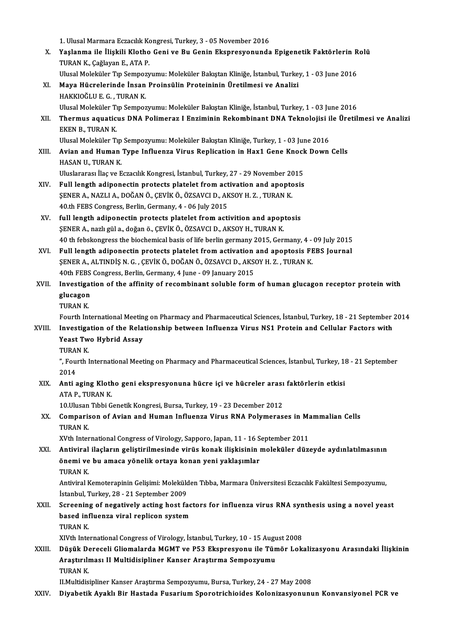|        | 1. Ulusal Marmara Eczacılık Kongresi, Turkey, 3 - 05 November 2016                                                                                                      |
|--------|-------------------------------------------------------------------------------------------------------------------------------------------------------------------------|
| Х.     | Yaşlanma ile İlişkili Klotho Geni ve Bu Genin Ekspresyonunda Epigenetik Faktörlerin Rolü<br>TURAN K., Çağlayan E., ATA P.                                               |
|        | Ulusal Moleküler Tıp Sempozyumu: Moleküler Bakıştan Kliniğe, İstanbul, Turkey, 1 - 03 June 2016                                                                         |
| XI.    | Maya Hücrelerinde İnsan Proinsülin Proteininin Üretilmesi ve Analizi                                                                                                    |
|        | HAKKIOĞLU E. G., TURAN K.                                                                                                                                               |
|        | Ulusal Moleküler Tıp Sempozyumu: Moleküler Bakıştan Kliniğe, İstanbul, Turkey, 1 - 03 June 2016                                                                         |
| XII.   | Thermus aquaticus DNA Polimeraz I Enziminin Rekombinant DNA Teknolojisi ile Üretilmesi ve Analizi                                                                       |
|        | EKEN B., TURAN K.                                                                                                                                                       |
|        | Ulusal Moleküler Tıp Sempozyumu: Moleküler Bakıştan Kliniğe, Turkey, 1 - 03 June 2016                                                                                   |
| XIII.  | Avian and Human Type Influenza Virus Replication in Hax1 Gene Knock Down Cells                                                                                          |
|        | HASAN U, TURAN K                                                                                                                                                        |
|        | Uluslararası İlaç ve Eczacılık Kongresi, İstanbul, Turkey, 27 - 29 November 2015                                                                                        |
| XIV.   | Full length adiponectin protects platelet from activation and apoptosis                                                                                                 |
|        | ŞENER A., NAZLI A., DOĞAN Ö., ÇEVİK Ö., ÖZSAVCI D., AKSOY H. Z., TURAN K.                                                                                               |
|        | 40th FEBS Congress, Berlin, Germany, 4 - 06 July 2015                                                                                                                   |
| XV.    | full length adiponectin protects platelet from activition and apoptosis                                                                                                 |
|        | ŞENER A., nazlı gül a., doğan ö., ÇEVİK Ö., ÖZSAVCI D., AKSOY H., TURAN K.                                                                                              |
|        | 40 th febskongress the biochemical basis of life berlin germany 2015, Germany, 4 - 09 July 2015                                                                         |
| XVI.   | Full length adiponectin protects platelet from activation and apoptosis FEBS Journal<br>ŞENER A., ALTINDİŞ N. G., ÇEVİK Ö., DOĞAN Ö., ÖZSAVCI D., AKSOY H. Z., TURAN K. |
|        | 40th FEBS Congress, Berlin, Germany, 4 June - 09 January 2015                                                                                                           |
| XVII.  | Investigation of the affinity of recombinant soluble form of human glucagon receptor protein with                                                                       |
|        | glucagon                                                                                                                                                                |
|        | <b>TURANK</b>                                                                                                                                                           |
|        | Fourth International Meeting on Pharmacy and Pharmaceutical Sciences, İstanbul, Turkey, 18 - 21 September 2014                                                          |
| XVIII. | Investigation of the Relationship between Influenza Virus NS1 Protein and Cellular Factors with                                                                         |
|        | <b>Yeast Two Hybrid Assay</b>                                                                                                                                           |
|        | TURAN K.                                                                                                                                                                |
|        | ", Fourth International Meeting on Pharmacy and Pharmaceutical Sciences, İstanbul, Turkey, 18 - 21 September                                                            |
|        | 2014                                                                                                                                                                    |
| XIX.   | Anti aging Klotho geni ekspresyonuna hücre içi ve hücreler arası faktörlerin etkisi                                                                                     |
|        | ATA P, TURAN K                                                                                                                                                          |
|        | 10. Ulusan Tıbbi Genetik Kongresi, Bursa, Turkey, 19 - 23 December 2012                                                                                                 |
| XX.    | Comparison of Avian and Human Influenza Virus RNA Polymerases in Mammalian Cells                                                                                        |
|        | TURAN K.                                                                                                                                                                |
|        | XVth International Congress of Virology, Sapporo, Japan, 11 - 16 September 2011                                                                                         |
| XXI.   | Antiviral ilaçların geliştirilmesinde virüs konak ilişkisinin moleküler düzeyde aydınlatılmasının<br>önemi ve bu amaca yönelik ortaya konan yeni yaklaşımlar            |
|        | TURAN K.                                                                                                                                                                |
|        | Antiviral Kemoterapinin Gelişimi: Molekülden Tıbba, Marmara Üniversitesi Eczacılık Fakültesi Sempozyumu,                                                                |
|        | İstanbul, Turkey, 28 - 21 September 2009                                                                                                                                |
| XXII.  | Screening of negatively acting host factors for influenza virus RNA synthesis using a novel yeast                                                                       |
|        | based influenza viral replicon system                                                                                                                                   |
|        | TURAN K.                                                                                                                                                                |
|        | XIVth International Congress of Virology, İstanbul, Turkey, 10 - 15 August 2008                                                                                         |
| XXIII. | Düşük Dereceli Gliomalarda MGMT ve P53 Ekspresyonu ile Tümör Lokalizasyonu Arasındaki İlişkinin                                                                         |
|        | Araştırılması II Multidisipliner Kanser Araştırma Sempozyumu                                                                                                            |
|        | TURAN K.                                                                                                                                                                |
|        | II.Multidisipliner Kanser Araştırma Sempozyumu, Bursa, Turkey, 24 - 27 May 2008                                                                                         |
| XXIV.  | Diyabetik Ayaklı Bir Hastada Fusarium Sporotrichioides Kolonizasyonunun Konvansiyonel PCR ve                                                                            |